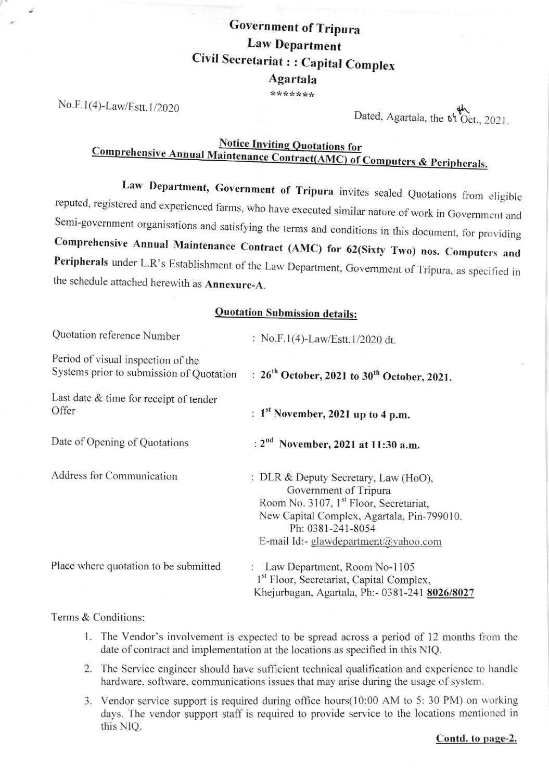# Government of Tripura Law Department Civil Secretariat : : Capital Complex **Agartala**

\*\*\*\*\*\*\*

No.F.1(4)-Law/Estt.1/2020

Dated, Agartala, the <sup>of</sup> Oct., 2021

# Notice Inviting Quotations for<br>Comprehensive Annual Maintenance Contract(AMC) of Computers & Peripherals.

Law Department, Government of Tripura invites sealed Quotations from eligible reputed, registered and experienced farms, who have executed similar nature of work in Government and Semi-government organisations and satisfyi Comprehensive Annual Maintenance Contract (AMC) for 62(Sixty Two) nos. Computers and Peripherals under L.R's Establishment of the Law Department, Government of Tripura, as specified in the schedule attached herewith as **Annexure-A**.

#### Quotation Submission details:

| Quotation reference Number                                                     | : No.F.1(4)-Law/Estt.1/2020 dt.                                                                                                                                                                                                |
|--------------------------------------------------------------------------------|--------------------------------------------------------------------------------------------------------------------------------------------------------------------------------------------------------------------------------|
| Period of visual inspection of the<br>Systems prior to submission of Quotation | : $26^{th}$ October, 2021 to $30^{th}$ October, 2021.                                                                                                                                                                          |
| Last date & time for receipt of tender<br>Offer                                | : $1st$ November, 2021 up to 4 p.m.                                                                                                                                                                                            |
| Date of Opening of Quotations                                                  | : 2 <sup>nd</sup> November, 2021 at 11:30 a.m.                                                                                                                                                                                 |
| Address for Communication                                                      | : DLR & Deputy Secretary, Law (HoO),<br>Government of Tripura<br>Room No. 3107, 1 <sup>st</sup> Floor, Secretariat,<br>New Capital Complex, Agartala, Pin-799010.<br>Ph: 0381-241-8054<br>E-mail Id:- glawdepartment@yahoo.com |
| Place where quotation to be submitted                                          | Law Department, Room No-1105<br>1 <sup>st</sup> Floor, Secretariat, Capital Complex,<br>Khejurbagan, Agartala, Ph:- 0381-241 8026/8027                                                                                         |

#### Terms & Conditions

- l. The Vendor's involvement is expected to be spread across a period of 12 months from the date of contract and implementation at the locations as specified in this NIQ.
- 2. The Service engineer should have sufficient technical qualification and experience to handle hardware, software, communications issues that may arise during the usage of system.
- 3. Vendor service support is required during office hours(10:00 AM to 5: 30 PM) on torking days. The vendor support staff is required to provide service to the locations mentioned in this NIQ.

Contd. to page-2.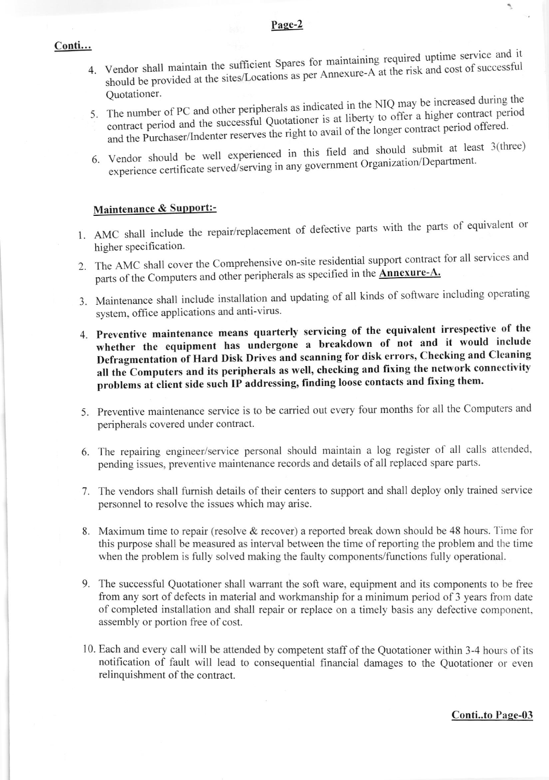#### Page-2

#### Conti...

- 4. Vendor shall maintain the sufficient Spares for maintaining required uptime service and it should be provided at the sites/Locations as per Annexure-A at the risk and cost of successful Quotationer.
- 5. The number of PC and other peripherals as indicated in the NIQ may be increased during the contract period and the successful Quotationer is at liberty to offer a higher contract period and the Purchaser/Indenter reserves the right to avail of the longer contract period offered.
- 6. Vendor should be well experienced in this field and should submit at least 3(three) experience certificate served/serving in any government Organization/Department.

## Maintenance & Support:-

- 1. AMC shall include the repair/replacement of defective parts with the parts of equivalent or higher specification.
- 2. The AMC shall cover the Comprehensive on-site residential support contract for all services and parts of the Computers and other peripherals as specified in the **Annexure-A.**
- 3. Maintenance shall include installation and updating of all kinds of software including operating system, office applications and anti-virus.
- 4. Preventive maintenance means quarterly servicing of the equivalent irrespective of the whether the equipment has undergone a breakdown of not and it would include Defragmentation of Hard Disk Drives and scanning for disk errors, Checking and Cleaning all the Computers and its peripherals as well, checking and fixing the network connectivity problems at client side such IP addressing, finding loose contacts and fixing them.
- 5. Preventive maintenance service is to be carried out every four months for all the Computers and peripherals covered under contract.
- 6. The repairing engineer/service personal should maintain a log register of all calls attended, pending issues, preventive maintenance records and details of all replaced spare parts.
- 7. The vendors shall furnish details of their centers to support and shall deploy only trained service personnel to resolve the issues which may arise.
- 8. Maximum time to repair (resolve & recover) a reported break down should be 48 hours. Time for this purpose shall be measured as interval between the time of reporting the problem and the time when the problem is fully solved making the faulty components/functions fully operational.
- 9. The successful Quotationer shall warrant the soft ware, equipment and its components to be free from any sort of defects in material and workmanship for a minimum period of 3 years from date of completed installation and shall repair or replace on a timely basis any defective component, assembly or portion free of cost.
- 10. Each and every call will be attended by competent staff of the Quotationer within 3-4 hours of its notification of fault will lead to consequential financial damages to the Quotationer or even relinquishment of the contract.

ŕ,